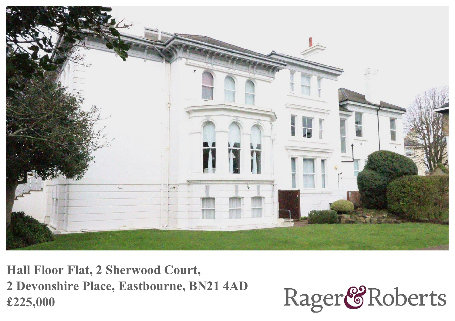

**Hall Floor Flat, 2 Sherwood Court, 2 Devonshire Place, Eastbourne, BN21 4AD £225,000**

Rager<sup>&</sup>Roberts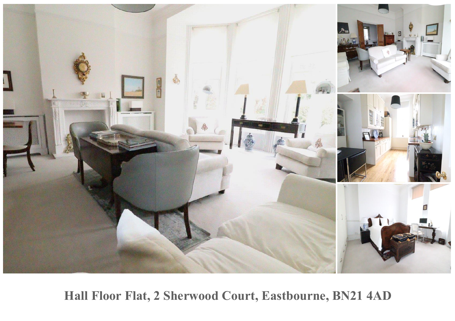

**Hall Floor Flat, 2 Sherwood Court, Eastbourne, BN21 4AD**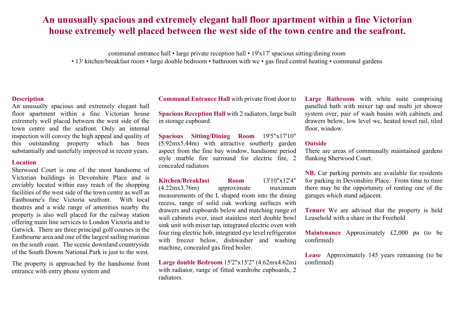# **An unusually spacious and extremely elegant hall floor apartment within <sup>a</sup> fine Victorian house extremely well placed between the west side of the town centre and the seafront.**

communal entrance hall • large private reception hall • 19'x17' spacious sitting/dining room • 13' kitchen/breakfast room • large double bedroom • bathroom with wc • gas fired central heating • communal gardens

## **Description**

An unusually spacious and extremely elegant hall floor apartment within <sup>a</sup> fine Victorian house extremely well placed between the west side of the town centre and the seafront. Only an internal inspection will convey the high appeal and quality of this outstanding property which has been substantially and tastefully improved in recent years.

### **Location**

Sherwood Court is one of the most handsome of Victorian buildings in Devonshire Place and is enviably located within easy reach of the shopping facilities of the west side of the town centre as well as Eastbourne's fine Victoria seafront. With local theatres and <sup>a</sup> wide range of amenities nearby the property is also well placed for the railway station offering main line services to London Victoria and to Gatwick. There are three principal golf courses in the Eastbourne area and one of the largest sailing marinas on the south coast. The scenic downland countryside of the South Downs National Park is just to the west.

The property is approached by the handsome front entrance with entry phone system and

**Communal Entrance Hall** with private front door to

**Spacious Reception Hall** with 2 radiators, large built in storage cupboard.

**Spacious Sitting/Dining Room** 19'5"x17'10" (5.92mx5.44m) with attractive southerly garden aspec<sup>t</sup> from the fine bay window, handsome period style marble fire surround for electric fire, 2 concealed radiators

**Kitchen/Breakfast Room** 13'10"x12'4" (4.22mx3.76m) approximate maximum measurements of the L shaped room into the dining recess, range of solid oak working surfaces with drawers and cupboards below and matching range of wall cabinets over, inset stainless steel double bowl sink unit with mixer tap, integrated electric oven with four ring electric hob, integrated eye level refrigerator with freezer below, dishwasher and washing machine, concealed gas fired boiler.

**Large double Bedroom** 15'2"x15'2" (4.62mx4.62m) with radiator, range of fitted wardrobe cupboards, 2 radiators.

**Large Bathroom** with white suite comprising panelled bath with mixer tap and multi jet shower system over, pair of wash basins with cabinets and drawers below, low level wc, heated towel rail, tiled floor, window.

### **Outside**

There are areas of communally maintained gardens flanking Sherwood Court.

**NB.** Car parking permits are available for residents for parking in Devonshire Place. From time to time there may be the opportunity of renting one of the garages which stand adjacent.

**Tenure** We are advised that the property is held Leasehold with <sup>a</sup> share in the Freehold

**Maintenance** Approximately £2,000 pa (to be confirmed)

**Lease** Approximately 145 years remaining (to be confirmed)